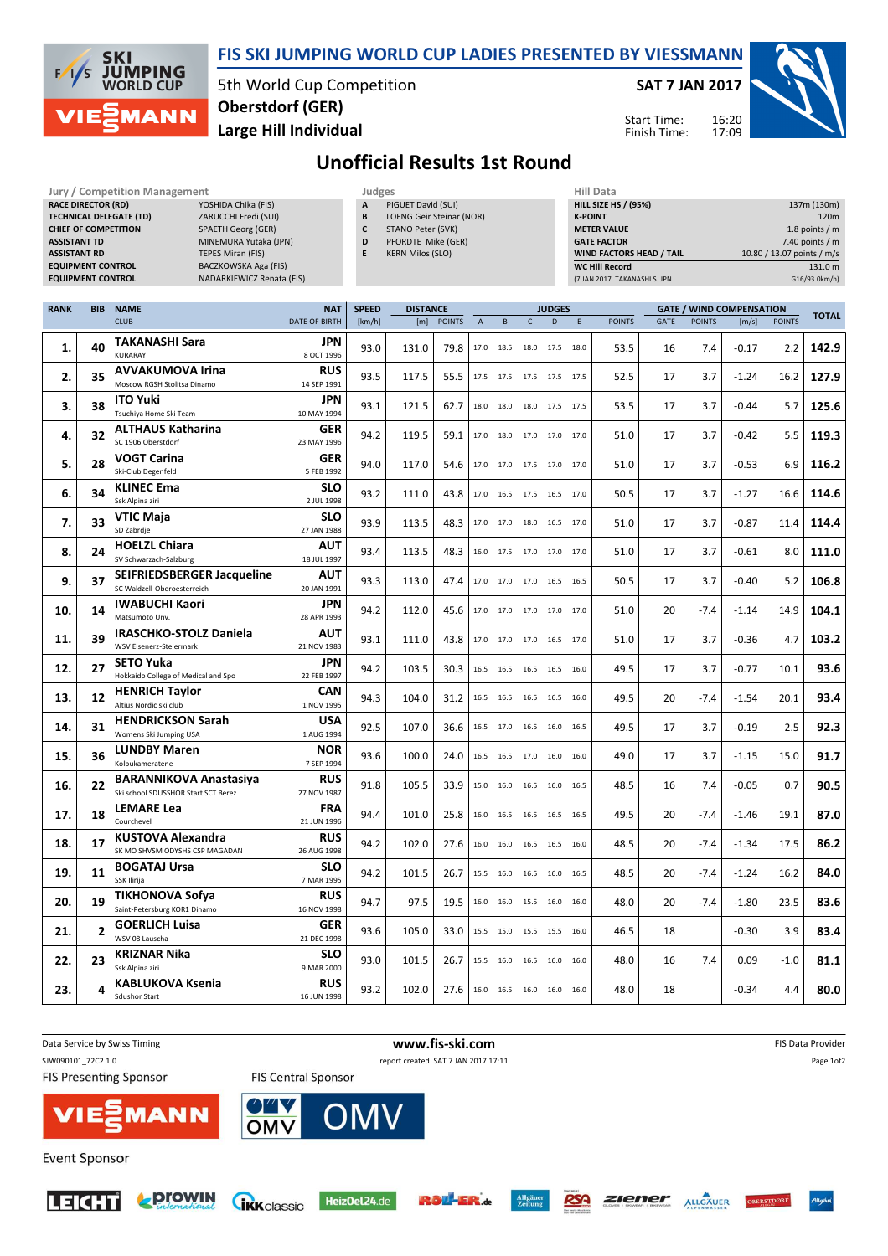

TECHNICAL DELEGATE (TD) ZARUCCHI Fredi (SUI) CHIEF OF COMPETITION SPAETH Georg (GER)

RACE DIRECTOR (RD)

## FIS SKI JUMPING WORLD CUP LADIES PRESENTED BY VIESSMANN

5th World Cup Competition Large Hill Individual Oberstdorf (GER)

Jury / Competition Management **Judges** Judges **Hill Data**<br> **RACE DIRECTOR (RD)** YOSHIDA Chika (FIS) **A** PIGUET David (SUI) **HILL SIZE H**ILL SIZE

SAT 7 JAN 2017

Start Time: Finish Time:

17:09

HILL SIZE HS / (95%) 137m (130m) **K-POINT** 220m METER VALUE 1.8 points / m



## Unofficial Results 1st Round

PIGUET David (SUI) B LOENG Geir Steinar (NOR) C STANO Peter (SVK)

| <b>ASSISTANT TD</b><br>MINEMURA Yutaka (JPN)<br><b>TEPES Miran (FIS)</b><br><b>ASSISTANT RD</b><br><b>EQUIPMENT CONTROL</b><br>BACZKOWSKA Aga (FIS)<br><b>EQUIPMENT CONTROL</b><br>NADARKIEWICZ Renata (FIS) |                |                                                                      | PFORDTE Mike (GER)<br>D<br>E<br><b>KERN Milos (SLO)</b> |                        |                        |               |                           |           |                              | <b>GATE FACTOR</b><br>WIND FACTORS HEAD / TAIL<br><b>WC Hill Record</b><br>(7 JAN 2017 TAKANASHI S. JPN |      | 7.40 points $/m$<br>10.80 / 13.07 points / m/s<br>131.0 m<br>G16/93.0km/h) |             |               |                                          |               |              |
|--------------------------------------------------------------------------------------------------------------------------------------------------------------------------------------------------------------|----------------|----------------------------------------------------------------------|---------------------------------------------------------|------------------------|------------------------|---------------|---------------------------|-----------|------------------------------|---------------------------------------------------------------------------------------------------------|------|----------------------------------------------------------------------------|-------------|---------------|------------------------------------------|---------------|--------------|
|                                                                                                                                                                                                              |                |                                                                      |                                                         |                        |                        |               |                           |           |                              |                                                                                                         |      |                                                                            |             |               |                                          |               |              |
| <b>RANK</b>                                                                                                                                                                                                  | <b>BIB</b>     | <b>NAME</b><br><b>CLUB</b>                                           | <b>NAT</b><br><b>DATE OF BIRTH</b>                      | <b>SPEED</b><br>[km/h] | <b>DISTANCE</b><br>[m] | <b>POINTS</b> | $\boldsymbol{\mathsf{A}}$ | B         | $\mathsf{C}$                 | <b>JUDGES</b><br>D                                                                                      | E    | <b>POINTS</b>                                                              | <b>GATE</b> | <b>POINTS</b> | <b>GATE / WIND COMPENSATION</b><br>[m/s] | <b>POINTS</b> | <b>TOTAL</b> |
| 1.                                                                                                                                                                                                           | 40             | <b>TAKANASHI Sara</b><br>KURARAY                                     | <b>JPN</b><br>8 OCT 1996                                | 93.0                   | 131.0                  | 79.8          | 17.0                      | 18.5      | 18.0 17.5                    |                                                                                                         | 18.0 | 53.5                                                                       | 16          | 7.4           | $-0.17$                                  | 2.2           | 142.9        |
| 2.                                                                                                                                                                                                           | 35             | <b>AVVAKUMOVA Irina</b><br>Moscow RGSH Stolitsa Dinamo               | <b>RUS</b><br>14 SEP 1991                               | 93.5                   | 117.5                  | 55.5          |                           | 17.5 17.5 | 17.5 17.5 17.5               |                                                                                                         |      | 52.5                                                                       | 17          | 3.7           | $-1.24$                                  | 16.2          | 127.9        |
| 3.                                                                                                                                                                                                           | 38             | <b>ITO Yuki</b><br>Tsuchiya Home Ski Team                            | <b>JPN</b><br>10 MAY 1994                               | 93.1                   | 121.5                  | 62.7          |                           |           | 18.0 18.0 18.0 17.5 17.5     |                                                                                                         |      | 53.5                                                                       | 17          | 3.7           | $-0.44$                                  | 5.7           | 125.6        |
| 4.                                                                                                                                                                                                           | 32             | <b>ALTHAUS Katharina</b><br>SC 1906 Oberstdorf                       | <b>GER</b><br>23 MAY 1996                               | 94.2                   | 119.5                  | 59.1          |                           |           | 17.0 18.0 17.0 17.0 17.0     |                                                                                                         |      | 51.0                                                                       | 17          | 3.7           | $-0.42$                                  | 5.5           | 119.3        |
| 5.                                                                                                                                                                                                           | 28             | <b>VOGT Carina</b><br>Ski-Club Degenfeld                             | GER<br>5 FEB 1992                                       | 94.0                   | 117.0                  | 54.6          |                           |           | 17.0 17.0 17.5 17.0          |                                                                                                         | 17.0 | 51.0                                                                       | 17          | 3.7           | $-0.53$                                  | 6.9           | 116.2        |
| 6.                                                                                                                                                                                                           | 34             | <b>KLINEC Ema</b><br>Ssk Alpina ziri                                 | <b>SLO</b><br>2 JUL 1998                                | 93.2                   | 111.0                  | 43.8          |                           |           | 17.0  16.5  17.5  16.5  17.0 |                                                                                                         |      | 50.5                                                                       | 17          | 3.7           | $-1.27$                                  | 16.6          | 114.6        |
| 7.                                                                                                                                                                                                           | 33             | <b>VTIC Maja</b><br>SD Zabrdje                                       | <b>SLO</b><br>27 JAN 1988                               | 93.9                   | 113.5                  | 48.3          | 17.0                      | 17.0      | 18.0                         | 16.5                                                                                                    | 17.0 | 51.0                                                                       | 17          | 3.7           | $-0.87$                                  | 11.4          | 114.4        |
| 8.                                                                                                                                                                                                           | 24             | <b>HOELZL Chiara</b><br>SV Schwarzach-Salzburg                       | <b>AUT</b><br>18 JUL 1997                               | 93.4                   | 113.5                  | 48.3          | 16.0                      | 17.5      | 17.0 17.0                    |                                                                                                         | 17.0 | 51.0                                                                       | 17          | 3.7           | $-0.61$                                  | 8.0           | 111.0        |
| 9.                                                                                                                                                                                                           | 37             | <b>SEIFRIEDSBERGER Jacqueline</b><br>SC Waldzell-Oberoesterreich     | <b>AUT</b><br>20 JAN 1991                               | 93.3                   | 113.0                  | 47.4          |                           |           | 17.0 17.0 17.0 16.5 16.5     |                                                                                                         |      | 50.5                                                                       | 17          | 3.7           | $-0.40$                                  | 5.2           | 106.8        |
| 10.                                                                                                                                                                                                          | 14             | <b>IWABUCHI Kaori</b><br>Matsumoto Unv.                              | <b>JPN</b><br>28 APR 1993                               | 94.2                   | 112.0                  | 45.6          |                           |           | 17.0 17.0 17.0 17.0 17.0     |                                                                                                         |      | 51.0                                                                       | 20          | $-7.4$        | $-1.14$                                  | 14.9          | 104.1        |
| 11.                                                                                                                                                                                                          | 39             | <b>IRASCHKO-STOLZ Daniela</b><br>WSV Eisenerz-Steiermark             | AUT<br>21 NOV 1983                                      | 93.1                   | 111.0                  | 43.8          |                           |           | 17.0  17.0  17.0  16.5  17.0 |                                                                                                         |      | 51.0                                                                       | 17          | 3.7           | $-0.36$                                  | 4.7           | 103.2        |
| 12.                                                                                                                                                                                                          | 27             | <b>SETO Yuka</b><br>Hokkaido College of Medical and Spo              | <b>JPN</b><br>22 FEB 1997                               | 94.2                   | 103.5                  | 30.3          | 16.5                      | 16.5      | 16.5 16.5                    |                                                                                                         | 16.0 | 49.5                                                                       | 17          | 3.7           | $-0.77$                                  | 10.1          | 93.6         |
| 13.                                                                                                                                                                                                          | 12             | <b>HENRICH Taylor</b><br>Altius Nordic ski club                      | <b>CAN</b><br>1 NOV 1995                                | 94.3                   | 104.0                  | 31.2          |                           | 16.5 16.5 | 16.5 16.5                    |                                                                                                         | 16.0 | 49.5                                                                       | 20          | $-7.4$        | $-1.54$                                  | 20.1          | 93.4         |
| 14.                                                                                                                                                                                                          | 31             | <b>HENDRICKSON Sarah</b><br>Womens Ski Jumping USA                   | <b>USA</b><br>1 AUG 1994                                | 92.5                   | 107.0                  | 36.6          | 16.5                      | 17.0      | 16.5                         | 16.0                                                                                                    | 16.5 | 49.5                                                                       | 17          | 3.7           | $-0.19$                                  | 2.5           | 92.3         |
| 15.                                                                                                                                                                                                          | 36             | <b>LUNDBY Maren</b><br>Kolbukameratene                               | <b>NOR</b><br>7 SEP 1994                                | 93.6                   | 100.0                  | 24.0          |                           | 16.5 16.5 | 17.0 16.0                    |                                                                                                         | 16.0 | 49.0                                                                       | 17          | 3.7           | $-1.15$                                  | 15.0          | 91.7         |
| 16.                                                                                                                                                                                                          | 22             | <b>BARANNIKOVA Anastasiya</b><br>Ski school SDUSSHOR Start SCT Berez | <b>RUS</b><br>27 NOV 1987                               | 91.8                   | 105.5                  | 33.9          | 15.0                      | 16.0      | 16.5 16.0                    |                                                                                                         | 16.5 | 48.5                                                                       | 16          | 7.4           | $-0.05$                                  | 0.7           | 90.5         |
| 17.                                                                                                                                                                                                          | 18             | <b>LEMARE Lea</b><br>Courchevel                                      | <b>FRA</b><br>21 JUN 1996                               | 94.4                   | 101.0                  | 25.8          |                           |           | 16.0 16.5 16.5 16.5 16.5     |                                                                                                         |      | 49.5                                                                       | 20          | $-7.4$        | $-1.46$                                  | 19.1          | 87.0         |
| 18.                                                                                                                                                                                                          | 17             | <b>KUSTOVA Alexandra</b><br>SK MO SHVSM ODYSHS CSP MAGADAN           | <b>RUS</b><br>26 AUG 1998                               | 94.2                   | 102.0                  | 27.6          |                           |           | 16.0 16.0 16.5 16.5 16.0     |                                                                                                         |      | 48.5                                                                       | 20          | $-7.4$        | $-1.34$                                  | 17.5          | 86.2         |
| 19.                                                                                                                                                                                                          | 11             | <b>BOGATAJ Ursa</b><br>SSK Ilirija                                   | <b>SLO</b><br>7 MAR 1995                                | 94.2                   | 101.5                  | 26.7          | 15.5                      | 16.0      | 16.5 16.0                    |                                                                                                         | 16.5 | 48.5                                                                       | 20          | $-7.4$        | $-1.24$                                  | 16.2          | 84.0         |
| 20.                                                                                                                                                                                                          | 19             | <b>TIKHONOVA Sofva</b><br>Saint-Petersburg KOR1 Dinamo               | <b>RUS</b><br>16 NOV 1998                               | 94.7                   | 97.5                   | 19.5          |                           | 16.0 16.0 | 15.5 16.0                    |                                                                                                         | 16.0 | 48.0                                                                       | 20          | $-7.4$        | $-1.80$                                  | 23.5          | 83.6         |
| 21.                                                                                                                                                                                                          | $\overline{2}$ | <b>GOERLICH Luisa</b><br>WSV 08 Lauscha                              | GER<br>21 DEC 1998                                      | 93.6                   | 105.0                  | 33.0          | 15.5                      | 15.0      | 15.5                         | 15.5                                                                                                    | 16.0 | 46.5                                                                       | 18          |               | $-0.30$                                  | 3.9           | 83.4         |
| 22.                                                                                                                                                                                                          | 23             | <b>KRIZNAR Nika</b><br>Ssk Alpina ziri                               | <b>SLO</b><br>9 MAR 2000                                | 93.0                   | 101.5                  | 26.7          |                           | 15.5 16.0 | 16.5                         | 16.0                                                                                                    | 16.0 | 48.0                                                                       | 16          | 7.4           | 0.09                                     | $-1.0$        | 81.1         |
| 23.                                                                                                                                                                                                          |                | <b>KABLUKOVA Ksenia</b><br><b>Sdushor Start</b>                      | <b>RUS</b><br>16 JUN 1998                               | 93.2                   | 102.0                  | 27.6          |                           |           | 16.0 16.5 16.0 16.0          |                                                                                                         | 16.0 | 48.0                                                                       | 18          |               | $-0.34$                                  | 4.4           | 80.0         |